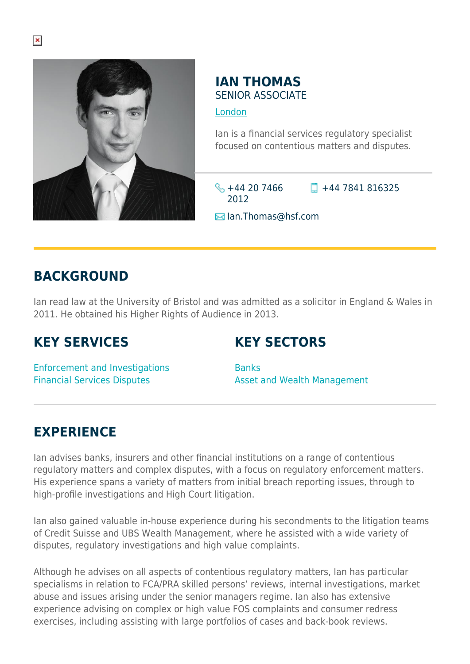

### **IAN THOMAS** SENIOR ASSOCIATE

[London](https://www.herbertsmithfreehills.com/where-we-work/london)

Ian is a financial services regulatory specialist focused on contentious matters and disputes.

 $\frac{1}{2} + 44$  20 7466 2012

 $\Box$  +44 7841 816325

**E**Ian.Thomas@hsf.com

## **BACKGROUND**

Ian read law at the University of Bristol and was admitted as a solicitor in England & Wales in 2011. He obtained his Higher Rights of Audience in 2013.

# **KEY SERVICES**

# **KEY SECTORS**

Enforcement and Investigations Financial Services Disputes

Banks Asset and Wealth Management

## **EXPERIENCE**

Ian advises banks, insurers and other financial institutions on a range of contentious regulatory matters and complex disputes, with a focus on regulatory enforcement matters. His experience spans a variety of matters from initial breach reporting issues, through to high-profile investigations and High Court litigation.

Ian also gained valuable in-house experience during his secondments to the litigation teams of Credit Suisse and UBS Wealth Management, where he assisted with a wide variety of disputes, regulatory investigations and high value complaints.

Although he advises on all aspects of contentious regulatory matters, Ian has particular specialisms in relation to FCA/PRA skilled persons' reviews, internal investigations, market abuse and issues arising under the senior managers regime. Ian also has extensive experience advising on complex or high value FOS complaints and consumer redress exercises, including assisting with large portfolios of cases and back-book reviews.